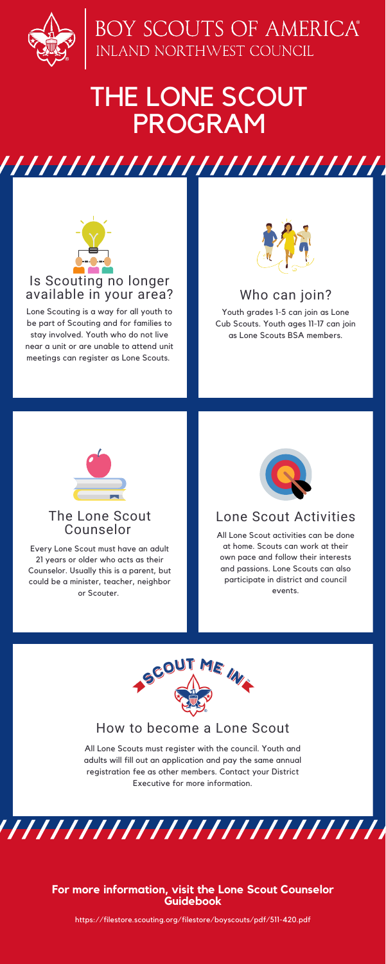

# BOY SCOUTS OF AMERICA®<br>INLAND NORTHWEST COUNCIL

## How to become a Lone Scout

All Lone Scouts must register with the council. Youth and adults will fill out an application and pay the same annual registration fee as other members. Contact your District Executive for more information.

,,,,,,,,,,,,,,,,,,,,,,,,,,,,,,,

## THE LONE SCOUT PROGRAM



## Lone Scout Activities

All Lone Scout activities can be done at home. Scouts can work at their own pace and follow their interests and passions. Lone Scouts can also

participate in district and council events.



## The Lone Scout Counselor

Every Lone Scout must have an adult 21 years or older who acts as their Counselor. Usually this is a parent, but



could be a minister, teacher, neighbor or Scouter.

## Is Scouting no longer available in your area?

Lone Scouting is a way for all youth to be part of Scouting and for families to stay involved. Youth who do not live near a unit or are unable to attend unit meetings can register as Lone Scouts.



## **For more information, visit the Lone Scout Counselor Guidebook**

https://filestore.scouting.org/filestore/boyscouts/pdf/511-420.pdf

## Who can join?

Youth grades 1-5 can join as Lone Cub Scouts. Youth ages 11-17 can join as Lone Scouts BSA members.